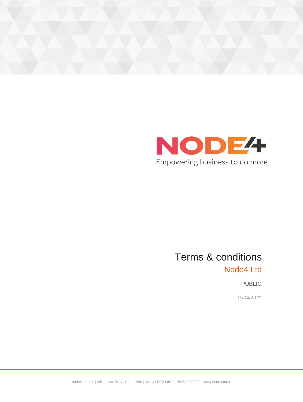



# Terms & conditions Node4 Ltd

PUBLIC

01/04/2022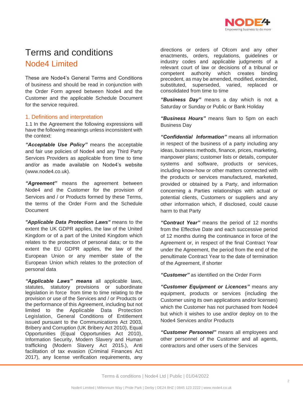

# Terms and conditions Node4 Limited

These are Node4's General Terms and Conditions of business and should be read in conjunction with the Order Form agreed between Node4 and the Customer and the applicable Schedule Document for the service required.

# 1. Definitions and interpretation

1.1 In the Agreement the following expressions will have the following meanings unless inconsistent with the context:

*"Acceptable Use Policy"* means the acceptable and fair use policies of Node4 and any Third Party Services Providers as applicable from time to time and/or as made available on Node4's website [\(www.node4.co.uk\)](http://www.node4.co.uk/).

*"Agreement"* means the agreement between Node4 and the Customer for the provision of Services and / or Products formed by these Terms, the terms of the Order Form and the Schedule **Document** 

*"Applicable Data Protection Laws"* means to the extent the UK GDPR applies, the law of the United Kingdom or of a part of the United Kingdom which relates to the protection of personal data; or to the extent the EU GDPR applies, the law of the European Union or any member state of the European Union which relates to the protection of personal data

*"Applicable Laws" means* all applicable laws, statutes, statutory provisions or subordinate legislation in force from time to time relating to the provision or use of the Services and / or Products or the performance of this Agreement, including but not limited to the Applicable Data Protection Legislation, General Conditions of Entitlement issued pursuant to the Communications Act 2003, Bribery and Corruption (UK Bribery Act 2010), Equal Opportunities (Equal Opportunities Act 2010), Information Security, Modern Slavery and Human trafficking (Modern Slavery Act 2015.), Anti facilitation of tax evasion (Criminal Finances Act 2017), any license verification requirements, any

directions or orders of Ofcom and any other enactments, orders, regulations, guidelines or industry codes and applicable judgments of a relevant court of law or decisions of a tribunal or competent authority which creates binding precedent, as may be amended, modified, extended, substituted, superseded, varied, replaced or consolidated from time to time

*"Business Day"* means a day which is not a Saturday or Sunday or Public or Bank Holiday

*"Business Hours"* means 9am to 5pm on each Business Day

*"Confidential Information"* means all information in respect of the business of a party including any ideas, business methods, finance, prices, marketing, manpower plans; customer lists or details, computer systems and software, products or services, including know-how or other matters connected with the products or services manufactured, marketed, provided or obtained by a Party, and information concerning a Parties relationships with actual or potential clients, Customers or suppliers and any other information which, if disclosed, could cause harm to that Party

*"Contract Year"* means the period of 12 months from the Effective Date and each successive period of 12 months during the continuance in force of the Agreement or, in respect of the final Contract Year under the Agreement, the period from the end of the penultimate Contract Year to the date of termination of the Agreement, if shorter

*"Customer"* as identified on the Order Form

*"Customer Equipment or Licences"* means any equipment, products or services (including the Customer using its own applications and/or licenses) which the Customer has not purchased from Node4 but which it wishes to use and/or deploy on to the Node4 Services and/or Products

*"Customer Personnel"* means all employees and other personnel of the Customer and all agents, contractors and other users of the Services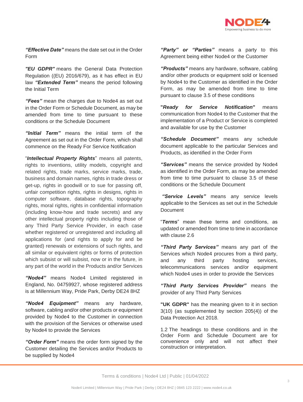

*"Effective Date"* means the date set out in the Order Form

*"EU GDPR"* means the General Data Protection Regulation ((EU) 2016/679), as it has effect in EU law *"Extended Term"* means the period following the Initial Term

*"Fees"* mean the charges due to Node4 as set out in the Order Form or Schedule Document, as may be amended from time to time pursuant to these conditions or the Schedule Document

*"Initial Term"* means the initial term of the Agreement as set out in the Order Form, which shall commence on the Ready For Service Notification

"*Intellectual Property Rights*" means all patents, rights to inventions, utility models, copyright and related rights, trade marks, service marks, trade, business and domain names, rights in trade dress or get-up, rights in goodwill or to sue for passing off, unfair competition rights, rights in designs, rights in computer software, database rights, topography rights, moral rights, rights in confidential information (including know-how and trade secrets) and any other intellectual property rights including those of any Third Party Service Provider, in each case whether registered or unregistered and including all applications for (and rights to apply for and be granted) renewals or extensions of such rights, and all similar or equivalent rights or forms of protection which subsist or will subsist, now or in the future, in any part of the world in the Products and/or Services

*"Node4"* means Node4 Limited registered in England, No. 04759927, whose registered address is at Millennium Way, Pride Park, Derby DE24 8HZ

*"Node4 Equipment"* means any hardware, software, cabling and/or other products or equipment provided by Node4 to the Customer in connection with the provision of the Services or otherwise used by Node4 to provide the Services

*"Order Form"* means the order form signed by the Customer detailing the Services and/or Products to be supplied by Node4

*"Party" or "Parties"* means a party to this Agreement being either Node4 or the Customer

*"Products"* means any hardware, software, cabling and/or other products or equipment sold or licensed by Node4 to the Customer as identified in the Order Form, as may be amended from time to time pursuant to clause 3.5 of these conditions

**"***Ready for Service Notification***"** means communication from Node4 to the Customer that the implementation of a Product or Service is completed and available for use by the Customer

*"Schedule Document"* means any schedule document applicable to the particular Services and Products, as identified in the Order Form

*"Services"* means the service provided by Node4 as identified in the Order Form, as may be amended from time to time pursuant to clause 3.5 of these conditions or the Schedule Document

*"Service Levels"* means any service levels applicable to the Services as set out in the Schedule **Document** 

"*Terms*" mean these terms and conditions, as updated or amended from time to time in accordance with clause 2.6

*"Third Party Services"* means any part of the Services which Node4 procures from a third party, and any third party hosting services, telecommunications services and/or equipment which Node4 uses in order to provide the Services

*"Third Party Services Provider"* means the provider of any Third Party Services

**"UK GDPR"** has the meaning given to it in section 3(10) (as supplemented by section 205(4)) of the Data Protection Act 2018.

1.2 The headings to these conditions and in the Order Form and Schedule Document are for convenience only and will not affect their construction or interpretation.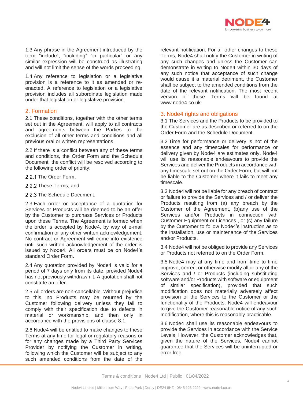

1.3 Any phrase in the Agreement introduced by the term "include", "including" "in particular" or any similar expression will be construed as illustrating and will not limit the sense of the words proceeding.

1.4 Any reference to legislation or a legislative provision is a reference to it as amended or reenacted. A reference to legislation or a legislative provision includes all subordinate legislation made under that legislation or legislative provision.

# 2. Formation

2.1 These conditions, together with the other terms set out in the Agreement, will apply to all contracts and agreements between the Parties to the exclusion of all other terms and conditions and all previous oral or written representations.

2.2 If there is a conflict between any of these terms and conditions, the Order Form and the Schedule Document, the conflict will be resolved according to the following order of priority:

- 2.2.1 The Order Form,
- 2.2.2 These Terms, and
- 2.2.3 The Schedule Document.

2.3 Each order or acceptance of a quotation for Services or Products will be deemed to be an offer by the Customer to purchase Services or Products upon these Terms. The Agreement is formed when the order is accepted by Node4, by way of e-mail confirmation or any other written acknowledgement. No contract or Agreement will come into existence until such written acknowledgement of the order is issued by Node4. All orders must be on Node4's standard Order Form.

2.4 Any quotation provided by Node4 is valid for a period of 7 days only from its date, provided Node4 has not previously withdrawn it. A quotation shall not constitute an offer.

2.5 All orders are non-cancellable. Without prejudice to this, no Products may be returned by the Customer following delivery unless they fail to comply with their specification due to defects in material or workmanship, and then only in accordance with the provisions of clause 8.1.

2.6 Node4 will be entitled to make changes to these Terms at any time for legal or regulatory reasons or for any changes made by a Third Party Services Provider by notifying the Customer in writing, following which the Customer will be subject to any such amended conditions from the date of the

relevant notification. For all other changes to these Terms, Node4 shall notify the Customer in writing of any such changes and unless the Customer can demonstrate in writing to Node4 within 30 days of any such notice that acceptance of such change would cause it a material detriment, the Customer shall be subject to the amended conditions from the date of the relevant notification. The most recent version of these Terms will be found at www.node4.co.uk.

#### 3. Node4 rights and obligations

3.1 The Services and the Products to be provided to the Customer are as described or referred to on the Order Form and the Schedule Document.

3.2 Time for performance or delivery is not of the essence and any timescales for performance or delivery given by Node4 are estimates only. Node4 will use its reasonable endeavours to provide the Services and deliver the Products in accordance with any timescale set out on the Order Form, but will not be liable to the Customer where it fails to meet any timescale.

3.3 Node4 will not be liable for any breach of contract or failure to provide the Services and / or deliver the Products resulting from (a) any breach by the Customer of the Agreement, (b)any use of the Services and/or Products in connection with Customer Equipment or Licences , or (c) any failure by the Customer to follow Node4's instruction as to the installation, use or maintenance of the Services and/or Products.

3.4 Node4 will not be obliged to provide any Services or Products not referred to on the Order Form.

3.5 Node4 may at any time and from time to time improve, correct or otherwise modify all or any of the Services and / or Products (including substituting software and/or Products with software or equipment of similar specification), provided that such modification does not materially adversely affect provision of the Services to the Customer or the functionality of the Products. Node4 will endeavour to give the Customer reasonable notice of any such modification, where this is reasonably practicable.

3.6 Node4 shall use its reasonable endeavours to provide the Services in accordance with the Service Levels. However, the Customer acknowledges that, given the nature of the Services, Node4 cannot guarantee that the Services will be uninterrupted or error free.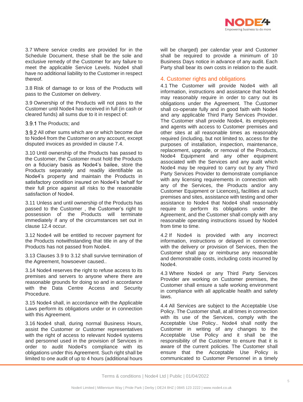

3.7 Where service credits are provided for in the Schedule Document, these shall be the sole and exclusive remedy of the Customer for any failure to meet the applicable Service Levels. Node4 shall have no additional liability to the Customer in respect thereof.

3.8 Risk of damage to or loss of the Products will pass to the Customer on delivery.

3.9 Ownership of the Products will not pass to the Customer until Node4 has received in full (in cash or cleared funds) all sums due to it in respect of:

3.9.1 The Products: and

3.9.2 All other sums which are or which become due to Node4 from the Customer on any account, except disputed invoices as provided in clause 7.4.

3.10 Until ownership of the Products has passed to the Customer, the Customer must hold the Products on a fiduciary basis as Node4's bailee, store the Products separately and readily identifiable as Node4's property and maintain the Products in satisfactory condition insured on Node4's behalf for their full price against all risks to the reasonable satisfaction of Node4

3.11 Unless and until ownership of the Products has passed to the Customer , the Customer's right to possession of the Products will terminate immediately if any of the circumstances set out in clause 12.4 occur.

3.12 Node4 will be entitled to recover payment for the Products notwithstanding that title in any of the Products has not passed from Node4.

3.13 Clauses 3.9 to 3.12 shall survive termination of the Agreement, howsoever caused..

3.14 Node4 reserves the right to refuse access to its premises and servers to anyone where there are reasonable grounds for doing so and in accordance with the Data Centre Access and Security Procedure.

3.15 Node4 shall, in accordance with the Applicable Laws perform its obligations under or in connection with this Agreement.

3.16 Node4 shall, during normal Business Hours, assist the Customer or Customer representatives with the right of access to relevant Node4 systems and personnel used in the provision of Services in order to audit Node4's compliance with its obligations under this Agreement. Such right shall be limited to one audit of up to 4 hours (additional hours

will be charged) per calendar year and Customer shall be required to provide a minimum of 10 Business Days notice in advance of any audit. Each Party shall bear its own costs in relation to the audit.

# 4. Customer rights and obligations

4.1 The Customer will provide Node4 with all information, instructions and assistance that Node4 may reasonably require in order to carry out its obligations under the Agreement. The Customer shall co-operate fully and in good faith with Node4 and any applicable Third Party Services Provider. The Customer shall provide Node4, its employees and agents with access to Customer premises and other sites at all reasonable times as reasonably required (including, but not limited to, access for the purposes of installation, inspection, maintenance, replacement, upgrade, or removal of the Products, Node4 Equipment and any other equipment associated with the Services and any audit which Node4 may be required to carry out by any Third Party Services Provider to demonstrate compliance with any licensing requirements in connection with any of the Services, the Products and/or any Customer Equipment or Licences)**,** facilities at such premises and sites, assistance with testing and other assistance to Node4 that Node4 shall reasonably require to perform its obligations under the Agreement, and the Customer shall comply with any reasonable operating instructions issued by Node4 from time to time.

4.2 If Node4 is provided with any incorrect information, instructions or delayed in connection with the delivery or provision of Services, then the Customer shall pay or reimburse any reasonable and demonstrable costs, including costs incurred by Node4.

4.3 Where Node4 or any Third Party Services Provider are working on Customer premises, the Customer shall ensure a safe working environment in compliance with all applicable health and safety laws.

4.4 All Services are subject to the Acceptable Use Policy. The Customer shall, at all times in connection with its use of the Services, comply with the Acceptable Use Policy.. Node4 shall notify the Customer in writing of any changes to the Acceptable Use Policy and it shall be the responsibility of the Customer to ensure that it is aware of the current policies. The Customer shall ensure that the Acceptable Use Policy is communicated to Customer Personnel in a timely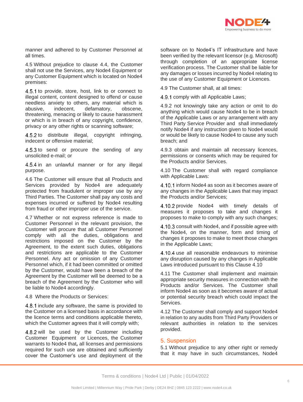

manner and adhered to by Customer Personnel at all times.

4.5 Without prejudice to clause 4.4, the Customer shall not use the Services, any Node4 Equipment or any Customer Equipment which is located on Node4 premises:

4.5.1 to provide, store, host, link to or connect to illegal content, content designed to offend or cause needless anxiety to others, any material which is abusive, indecent, defamatory, obscene, threatening, menacing or likely to cause harassment or which is in breach of any copyright, confidence, privacy or any other rights or scanning software;

4.5.2 to distribute illegal, copyright infringing, indecent or offensive material;

 $4.5.3$  to send or procure the sending of any unsolicited e-mail; or

4.5.4 in an unlawful manner or for any illegal purpose.

4.6 The Customer will ensure that all Products and Services provided by Node4 are adequately protected from fraudulent or improper use by any Third Parties. The Customer shall pay any costs and expenses incurred or suffered by Node4 resulting from fraud or other improper use of the service.

4.7 Whether or not express reference is made to Customer Personnel in the relevant provision, the Customer will procure that all Customer Personnel comply with all the duties, obligations and restrictions imposed on the Customer by the Agreement, to the extent such duties, obligations and restrictions are applicable to the Customer Personnel. Any act or omission of any Customer Personnel which, if it had been committed or omitted by the Customer, would have been a breach of the Agreement by the Customer will be deemed to be a breach of the Agreement by the Customer who will be liable to Node4 accordingly.

4.8 Where the Products or Services:

4.8.1 include any software, the same is provided to the Customer on a licensed basis in accordance with the licence terms and conditions applicable thereto, which the Customer agrees that it will comply with;

4.8.2 will be used by the Customer including Customer Equipment or Licences, the Customer warrants to Node4 that*,* all licenses and permissions required for such use are obtained and sufficiently cover the Customer's use and deployment of the software on to Node4's IT infrastructure and have been verified by the relevant licensor (e.g. Microsoft) through completion of an appropriate license verification process. The Customer shall be liable for any damages or losses incurred by Node4 relating to the use of any Customer Equipment or Licences.

4.9 The Customer shall, at all times:

4.9.1 comply with all Applicable Laws;

4.9.2 not knowingly take any action or omit to do anything which would cause Node4 to be in breach of the Applicable Laws or any arrangement with any Third Party Service Provider and shall immediately notify Node4 if any instruction given to Node4 would or would be likely to cause Node4 to cause any such breach; and

4.9.3 obtain and maintain all necessary licences, permissions or consents which may be required for the Products and/or Services.

4.10 The Customer shall with regard compliance with Applicable Laws:

4.10.1 inform Node4 as soon as it becomes aware of any changes in the Applicable Laws that may impact the Products and/or Services;

4.10.2 provide Node4 with timely details of measures it proposes to take and changes it proposes to make to comply with any such changes;

4.10.3 consult with Node4, and if possible agree with the Node4, on the manner, form and timing of changes it proposes to make to meet those changes in the Applicable Laws;

4.10.4 use all reasonable endeavours to minimise any disruption caused by any changes in Applicable Laws introduced pursuant to this Clause 4.10

4.11 The Customer shall implement and maintain appropriate security measures in connection with the Products and/or Services. The Customer shall inform Node4 as soon as it becomes aware of actual or potential security breach which could impact the Services.

4.12 The Customer shall comply and support Node4 in relation to any audits from Third Party Providers or relevant authorities in relation to the services provided.

#### 5. Suspension

5.1 Without prejudice to any other right or remedy that it may have in such circumstances, Node4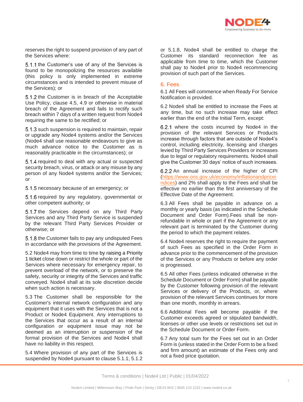

reserves the right to suspend provision of any part of the Services where:

5.1.1 the Customer's use of any of the Services is found to be monopolizing the resources available (this policy is only implemented in extreme circumstances and is intended to prevent misuse of the Services); or

5.1.2 the Customer is in breach of the Acceptable Use Policy, clause 4.5, 4.9 or otherwise in material breach of the Agreement and fails to rectify such breach within 7 days of a written request from Node4 requiring the same to be rectified; or

5.1.3 such suspension is required to maintain, repair or upgrade any Node4 systems and/or the Services (Node4 shall use reasonable endeavours to give as much advance notice to the Customer as is reasonably practicable in the circumstances); or

5.1.4 required to deal with any actual or suspected security breach, virus, or attack or any misuse by any person of any Node4 systems and/or the Services; or

5.1.5 necessary because of an emergency; or

5.1.6 required by any regulatory, governmental or other competent authority; or

5.1.7 the Services depend on any Third Party Services and any Third Party Service is suspended by the relevant Third Party Services Provider or otherwise; or

5.1.8 the Customer fails to pay any undisputed Fees in accordance with the provisions of the Agreement.

5.2 Node4 may from time to time by raising a Priority 1 ticket close down or restrict the whole or part of the Services where necessary for emergency repair, to prevent overload of the network, or to preserve the safety, security or integrity of the Services and traffic conveyed. Node4 shall at its sole discretion decide when such action is necessary.

5.3 The Customer shall be responsible for the Customer's internal network configuration and any equipment that it uses with the Services that is not a Product or Node4 Equipment. Any interruptions to the Services that occur as a result of an internal configuration or equipment issue may not be deemed as an interruption or suspension of the formal provision of the Services and Node4 shall have no liability in this respect.

5.4 Where provision of any part of the Services is suspended by Node4 pursuant to clause 5.1.1, 5.1.2 or 5.1.8, Node4 shall be entitled to charge the Customer its standard reconnection fee as applicable from time to time, which the Customer shall pay to Node4 prior to Node4 recommencing provision of such part of the Services.

#### 6. Fees

6.1 All Fees will commence when Ready For Service Notification is provided.

6.2 Node4 shall be entitled to increase the Fees at any time, but no such increase may take effect earlier than the end of the Initial Term, except:

6.2.1 where the costs incurred by Node4 in the provision of the relevant Services or Products increase through factors that are outside of Node4's control, including electricity, licensing and charges levied by Third Party Services Providers or increases due to legal or regulatory requirements. Node4 shall give the Customer 30 days' notice of such increases.

6.2.2 An annual increase of the higher of CPI [\(https://www.ons.gov.uk/economy/inflationandpricei](https://www.ons.gov.uk/economy/inflationandpriceindices) [ndices\)](https://www.ons.gov.uk/economy/inflationandpriceindices) and 2% shall apply to the Fees and shall be effective no earlier than the first anniversary of the Effective Date of the Agreement.

6.3 All Fees shall be payable in advance on a monthly or yearly basis (as indicated in the Schedule Document and Order Form).Fees shall be nonrefundable in whole or part if the Agreement or any relevant part is terminated by the Customer during the period to which the payment relates.

6.4 Node4 reserves the right to require the payment of such Fees as specified in the Order Form in advance prior to the commencement of the provision of the Services or any Products or before any order is progressed.

6.5 All other Fees (unless indicated otherwise in the Schedule Document or Order Form) shall be payable by the Customer following provision of the relevant Services or delivery of the Products, or, where provision of the relevant Services continues for more than one month, monthly in arrears.

6.6 Additional Fees will become payable if the Customer exceeds agreed or stipulated bandwidth, licenses or other use levels or restrictions set out in the Schedule Document or Order Form.

6.7 Any total sum for the Fees set out in an Order Form is (unless stated in the Order Form to be a fixed and firm amount) an estimate of the Fees only and not a fixed price quotation.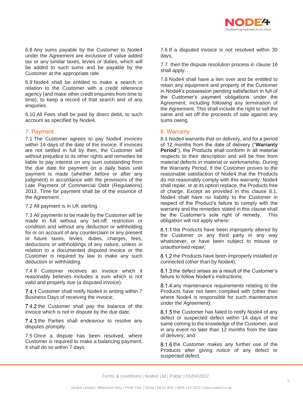

6.8 Any sums payable by the Customer to Node4 under the Agreement are exclusive of value added tax or any similar taxes, levies or duties, which will be added to such sums and be payable by the Customer at the appropriate rate.

6.9 Node4 shall be entitled to make a search in relation to the Customer with a credit reference agency (and make other credit enquiries from time to time), to keep a record of that search and of any enquiries.

6.10 All Fees shall be paid by direct debit, to such account as specified by Node4.

# 7. Payment

7.1 The Customer agrees to pay Node4 invoices within 14 days of the date of the invoice. If invoices are not settled in full by then, the Customer will without prejudice to its other rights and remedies be liable to pay interest on any sum outstanding from the due date for payment on a daily basis until payment is made (whether before or after any judgment) in accordance with the provisions of the Late Payment of Commercial Debt (Regulations) 2013. Time for payment shall be of the essence of the Agreement.

7.2 All payment is in UK sterling.

7.3 All payments to be made by the Customer will be made in full without any set-off, restriction or condition and without any deduction or withholding for or on account of any counterclaim or any present or future taxes, levies, duties, charges, fees, deductions or withholdings of any nature, unless in relation to a documented disputed invoice or the Customer is required by law to make any such deduction or withholding.

7.4 If Customer receives an invoice which it reasonably believes includes a sum which is not valid and properly due (a disputed invoice):

7.4.1 Customer shall notify Node4 in writing within 7 Business Days of receiving the invoice;

7.4.2 the Customer shall pay the balance of the invoice which is not in dispute by the due date;

7.4.3 the Parties shall endeavour to resolve any disputes promptly.

7.5 Once a dispute has been resolved, where Customer is required to make a balancing payment, it shall do so within 7 days.

7.6 If a disputed invoice is not resolved within 30 days,

7.7 then the dispute resolution process in clause 16 shall apply.

7.8 Node4 shall have a lien over and be entitled to retain any equipment and property of the Customer in Node4's possession pending satisfaction in full of the Customer's payment obligations under the Agreement, including following any termination of the Agreement. This shall include the right to sell the same and set off the proceeds of sale against any sums owing.

#### 8. Warranty

8.1 Node4 warrants that on delivery, and for a period of 12 months from the date of delivery ("**Warranty Period**"), the Products shall conform in all material respects to their description and will be free from material defects in material or workmanship. During the Warranty Period, if the Customer proves to the reasonable satisfaction of Node4 that the Products do not reasonably comply with this warranty, Node4 shall repair, or at its option replace, the Products free of charge. Except as provided in this clause 8.1, Node4 shall have no liability to the Customer in respect of the Product's failure to comply with the warranty and the remedies stated in this clause shall be the Customer's sole right of remedy. This obligation will not apply where:

8.1.1 the Products have been improperly altered by the Customer or any third party in any way whatsoever, or have been subject to misuse or unauthorised repair;

8.1.2 the Products have been improperly installed or connected (other than by Node4);

 $8.1.3$  the defect arises as a result of the Customer's failure to follow Node4's instructions;

8.1.4 any maintenance requirements relating to the Products have not been complied with (other than where Node4 is responsible for such maintenance under the Agreement);

8.1.5 the Customer has failed to notify Node4 of any defect or suspected defect within 14 days of the same coming to the knowledge of the Customer, and in any event no later than 12 months from the date of delivery; and

8.1.6 the Customer makes any further use of the Products after giving notice of any defect or suspected defect.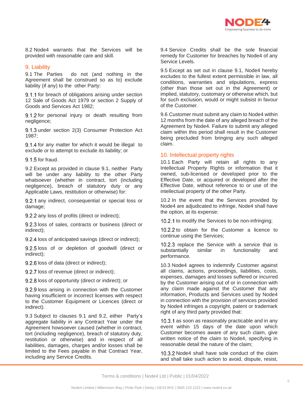

8.2 Node4 warrants that the Services will be provided with reasonable care and skill.

#### 9. Liability

9.1 The Parties do not (and nothing in the Agreement shall be construed so as to) exclude liability (if any) to the other Party:

9.1.1 for breach of obligations arising under section 12 Sale of Goods Act 1979 or section 2 Supply of Goods and Services Act 1982;

9.1.2 for personal injury or death resulting from negligence;

9.1.3 under section 2(3) Consumer Protection Act 1987;

9.1.4 for any matter for which it would be illegal to exclude or to attempt to exclude its liability; or

 $9.1.5$  for fraud.

9.2 Except as provided in clause 9.1, neither Party will be under any liability to the other Party whatsoever (whether in contract, tort (including negligence), breach of statutory duty or any Applicable Laws, restitution or otherwise) for:

9.2.1 any indirect, consequential or special loss or damage;

9.2.2 any loss of profits (direct or indirect);

9.2.3 loss of sales, contracts or business (direct or indirect);

9.2.4 loss of anticipated savings (direct or indirect);

9.2.5 loss of or depletion of goodwill (direct or indirect);

9.2.6 loss of data (direct or indirect);

9.2.7 loss of revenue (direct or indirect);

9.2.8 loss of opportunity (direct or indirect); or

9.2.9 loss arising in connection with the Customer having insufficient or incorrect licenses with respect to the Customer Equipment or Licences (direct or indirect).

9.3 Subject to clauses 9.1 and 9.2, either Party's aggregate liability in any Contract Year under the Agreement howsoever caused (whether in contract, tort (including negligence), breach of statutory duty, restitution or otherwise) and in respect of all liabilities, damages, charges and/or losses shall be limited to the Fees payable in that Contract Year, including any Service Credits.

9.4 Service Credits shall be the sole financial remedy for Customer for breaches by Node4 of any Service Levels.

9.5 Except as set out in clause 9.1, Node4 hereby excludes to the fullest extent permissible in law, all conditions, warranties and stipulations, express (other than those set out in the Agreement) or implied, statutory, customary or otherwise which, but for such exclusion, would or might subsist in favour of the Customer.

9.6 Customer must submit any claim to Node4 within 12 months from the date of any alleged breach of the Agreement by Node4. Failure to submit any alleged claim within this period shall result in the Customer being precluded from bringing any such alleged claim.

# 10. Intellectual property rights

10.1 Each Party will retain all rights to any Intellectual Property Rights or information that it owned, sub-licensed or developed prior to the Effective Date, or acquired or developed after the Effective Date, without reference to or use of the intellectual property of the other Party.

10.2 In the event that the Services provided by Node4 are adjudicated to infringe, Node4 shall have the option, at its expense:

10.2.1 to modify the Services to be non-infringing;

10.2.2 to obtain for the Customer a licence to continue using the Services;

10.2.3 replace the Service with a service that is substantially similar in functionality and performance.

10.3 Node4 agrees to indemnify Customer against all claims, actions, proceedings, liabilities, costs, expenses, damages and losses suffered or incurred by the Customer arising out of or in connection with any claim made against the Customer that any information, Products and Services used by Node4 in connection with the provision of services provided by Node4 infringes a copyright, patent or trademark right of any third party provided that:

10.3.1 as soon as reasonably practicable and in any event within 15 days of the date upon which Customer becomes aware of any such claim, give written notice of the claim to Node4, specifying in reasonable detail the nature of the claim;

10.3.2 Node4 shall have sole conduct of the claim and shall take such action to avoid, dispute, resist,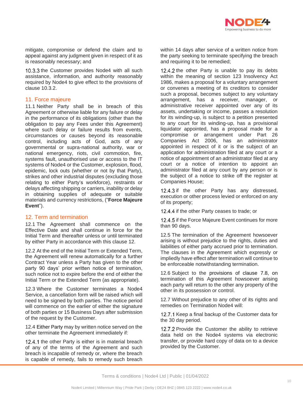

mitigate, compromise or defend the claim and to appeal against any judgment given in respect of it as is reasonably necessary; and

10.3.3 the Customer provides Node4 with all such assistance, information, and authority reasonably required by Node4 to give effect to the provisions of clause 10.3.2.

# 11. Force majeure

11.1 Neither Party shall be in breach of this Agreement or otherwise liable for any failure or delay in the performance of its obligations (other than the obligation to pay any Fees under this Agreement) where such delay or failure results from events, circumstances or causes beyond its reasonable control, including acts of God, acts of any governmental or supra-national authority, war or national emergency, riots, civil commotion, fire, systems fault, unauthorised use or access to the IT systems of Node4 or the Customer, explosion, flood, epidemic, lock outs (whether or not by that Party), strikes and other industrial disputes (excluding those relating to either Party's workforce), restraints or delays affecting shipping or carriers, inability or delay in obtaining supplies of adequate or suitable materials and currency restrictions, ("**Force Majeure Event**").

# 12. Term and termination

12.1 The Agreement shall commence on the Effective Date and shall continue in force for the Initial Term and thereafter unless or until terminated by either Party in accordance with this clause 12.

12.2 At the end of the Initial Term or Extended Term, the Agreement will renew automatically for a further Contract Year unless a Party has given to the other party 90 days' prior written notice of termination, such notice not to expire before the end of either the Initial Term or the Extended Term (as appropriate).

12.3 Where the Customer terminates a Node4 Service, a cancellation form will be raised which will need to be signed by both parties. The notice period will commence on the earlier of either the signature of both parties or 15 Business Days after submission of the request by the Customer.

12.4 Either Party may by written notice served on the other terminate the Agreement immediately if:

12.4.1 the other Party is either is in material breach of any of the terms of the Agreement and such breach is incapable of remedy or, where the breach is capable of remedy, fails to remedy such breach

within 14 days after service of a written notice from the party seeking to terminate specifying the breach and requiring it to be remedied;

12.4.2 the other Party is unable to pay its debts within the meaning of section 123 Insolvency Act 1986, makes a proposal for a voluntary arrangement or convenes a meeting of its creditors to consider such a proposal, becomes subject to any voluntary arrangement, has a receiver, manager, or administrative receiver appointed over any of its assets, undertaking or income, passes a resolution for its winding-up, is subject to a petition presented to any court for its winding-up, has a provisional liquidator appointed, has a proposal made for a compromise or arrangement under Part 26 Companies Act 2006, has an administrator appointed in respect of it or is the subject of an application for administration filed at any court or a notice of appointment of an administrator filed at any court or a notice of intention to appoint an administrator filed at any court by any person or is the subject of a notice to strike off the register at Companies House;

12.4.3 if the other Party has any distressed, execution or other process levied or enforced on any of its property;

12.4.4 if the other Party ceases to trade; or

12.4.5 if the Force Majeure Event continues for more than 90 days.

12.5 The termination of the Agreement howsoever arising is without prejudice to the rights, duties and liabilities of either party accrued prior to termination. The clauses in the Agreement which expressly or impliedly have effect after termination will continue to be enforceable notwithstanding termination.

12.6 Subject to the provisions of clause 7.8, on termination of this Agreement howsoever arising each party will return to the other any property of the other in its possession or control.

12.7 Without prejudice to any other of its rights and remedies on Termination Node4 will:

12.7.1 Keep a final backup of the Customer data for the 30 day period.

12.7.2 Provide the Customer the ability to retrieve data held on the Node4 systems via electronic transfer, or provide hard copy of data on to a device provided by the Customer.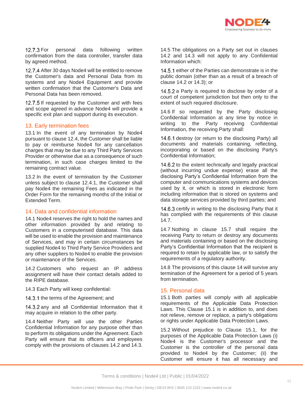

12.7.3 For personal data following written confirmation from the data controller, transfer data by agreed method.

12.7.4 After 30 days Node4 will be entitled to remove the Customer's data and Personal Data from its systems and any Node4 Equipment and provide written confirmation that the Customer's Data and Personal Data has been removed.

12.7.5 If requested by the Customer and with fees and scope agreed in advance Node4 will provide a specific exit plan and support during its execution.

# 13. Early termination fees

13.1 In the event of any termination by Node4 pursuant to clause 12.4, the Customer shall be liable to pay or reimburse Node4 for any cancellation charges that may be due to any Third Party Services Provider or otherwise due as a consequence of such termination, in such case charges limited to the remaining contract value.

13.2 In the event of termination by the Customer unless subject to clause 12.4.1, the Customer shall pay Node4 the remaining Fees as indicated in the Order Form for the remaining months of the Initial or Extended Term.

#### 14. Data and confidential information

14.1 Node4 reserves the right to hold the names and other information provided by and relating to Customers in a computerised database. This data will be used to enable the provision and maintenance of Services, and may in certain circumstances be supplied Node4 to Third Party Service Providers and any other suppliers to Node4 to enable the provision or maintenance of the Services.

14.2 Customers who request an IP address assignment will have their contact details added to the RIPE database.

14.3 Each Party will keep confidential:

14.3.1 the terms of the Agreement; and

14.3.2 any and all Confidential Information that it may acquire in relation to the other party.

14.4 Neither Party will use the other Parties Confidential Information for any purpose other than to perform its obligations under the Agreement. Each Party will ensure that its officers and employees comply with the provisions of clauses 14.2 and 14.3.

14.5 The obligations on a Party set out in clauses 14.2 and 14.3 will not apply to any Confidential Information which:

14.5.1 either of the Parties can demonstrate is in the public domain (other than as a result of a breach of clause 14.2 or 14.3); or

14.5.2 a Party is required to disclose by order of a court of competent jurisdiction but then only to the extent of such required disclosure.

14.6 If so requested by the Party disclosing Confidential Information at any time by notice in writing to the Party receiving Confidential Information, the receiving Party shall:

14.6.1 destroy (or return to the disclosing Party) all documents and materials containing, reflecting, incorporating or based on the disclosing Party's Confidential Information;

14.6.2 to the extent technically and legally practical (without incurring undue expense) erase all the disclosing Party's Confidential Information from the computer and communications systems and devices used by it, or which is stored in electronic form including information that is stored on systems and data storage services provided by third parties; and

14.6.3 certify in writing to the disclosing Party that it has complied with the requirements of this clause 14.7.

14.7 Nothing in clause 15.7 shall require the receiving Party to return or destroy any documents and materials containing or based on the disclosing Party's Confidential Information that the recipient is required to retain by applicable law, or to satisfy the requirements of a regulatory authority.

14.8 The provisions of this clause 14 will survive any termination of the Agreement for a period of 5 years from termination.

#### 15. Personal data

15.1 Both parties will comply with all applicable requirements of the Applicable Data Protection Laws. This Clause 15.1 is in addition to, and does not relieve, remove or replace, a party's obligations or rights under Applicable Data Protection Laws.

15.2 Without prejudice to Clause 15.1, for the purposes of the Applicable Data Protection Laws (i) Node4 is the Customer's processor and the Customer is the controller of the personal data provided to Node4 by the Customer; (ii) the Customer will ensure it has all necessary and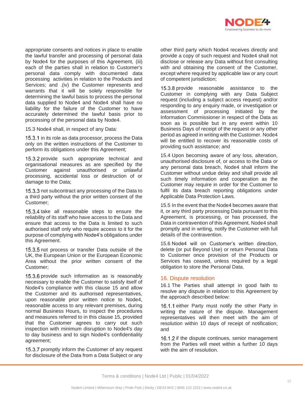

appropriate consents and notices in place to enable the lawful transfer and processing of personal data by Node4 for the purposes of this Agreement, (iii) each of the parties shall in relation to Customer's personal data comply with documented data processing activities in relation to the Products and Services; and .(iv) the Customer represents and warrants that it will be solely responsible for determining the lawful basis to process the personal data supplied to Node4 and Node4 shall have no liability for the failure of the Customer to have accurately determined the lawful basis prior to processing of the personal data by Node4.

15.3 Node4 shall, in respect of any Data:

15.3.1 in its role as data processor, process the Data only on the written instructions of the Customer to perform its obligations under this Agreement;

15.3.2 provide such appropriate technical and organisational measures as are specified by the Customer against unauthorised or unlawful processing, accidental loss or destruction of or damage to the Data;

15.3.3 not subcontract any processing of the Data to a third party without the prior written consent of the Customer;

15.3.4 take all reasonable steps to ensure the reliability of its staff who have access to the Data and ensure that access to the Data is limited to such authorised staff only who require access to it for the purpose of complying with Node4's obligations under this Agreement.

15.3.5 not process or transfer Data outside of the UK, the European Union or the European Economic Area without the prior written consent of the Customer;

15.3.6 provide such information as is reasonably necessary to enable the Customer to satisfy itself of Node4's compliance with this clause 15 and allow the Customer and its authorised representatives, upon reasonable prior written notice to Node4, reasonable access to any relevant premises, during normal Business Hours, to inspect the procedures and measures referred to in this clause 15, provided that the Customer agrees to carry out such inspection with minimum disruption to Node4's day to day business and to sign Node4's confidentiality agreement;

15.3.7 promptly inform the Customer of any request for disclosure of the Data from a Data Subject or any other third party which Node4 receives directly and provide a copy of such request and Node4 shall not disclose or release any Data without first consulting with and obtaining the consent of the Customer, except where required by applicable law or any court of competent jurisdiction;

15.3.8 provide reasonable assistance to the Customer in complying with any Data Subject request (including a subject access request) and/or responding to any enquiry made, or investigation or assessment of processing initiated by the Information Commissioner in respect of the Data as soon as is possible but in any event within 10 Business Days of receipt of the request or any other period as agreed in writing with the Customer. Node4 will be entitled to recover its reasonable costs of providing such assistance; and

15.4 Upon becoming aware of any loss, alteration, unauthorised disclosure of, or access to the Data or any personal data breach, Node4 shall inform the Customer without undue delay and shall provide all such timely information and cooperation as the Customer may require in order for the Customer to fulfil its data breach reporting obligations under Applicable Data Protection Laws.

15.5 In the event that the Node4 becomes aware that it, or any third party processing Data pursuant to this Agreement, is processing, or has processed, the Data in contravention of this Agreement, Node4 shall promptly and in writing, notify the Customer with full details of the contravention.

15.6 Node4 will on Customer's written direction, delete (or put Beyond Use) or return Personal Data to Customer once provision of the Products or Services has ceased, unless required by a legal obligation to store the Personal Data.

# 16. Dispute resolution

16.1 The Parties shall attempt in good faith to resolve any dispute in relation to this Agreement by the approach described below:

16.1.1 either Party must notify the other Party in writing the nature of the dispute. Management representatives will then meet with the aim of resolution within 10 days of receipt of notification; and

16.1.2 if the dispute continues, senior management from the Parties will meet within a further 10 days with the aim of resolution.